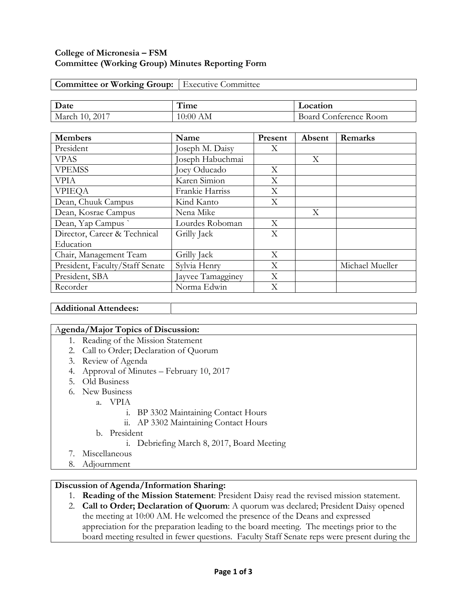## **College of Micronesia – FSM Committee (Working Group) Minutes Reporting Form**

| <b>Committee or Working Group:</b> Executive Committee |  |
|--------------------------------------------------------|--|
|                                                        |  |

| Date                      | − ∙<br>1 ime | Location                 |  |
|---------------------------|--------------|--------------------------|--|
| 2017<br>March<br>$\left($ | AМ<br>10:00  | onterence Room.<br>Board |  |

| <b>Members</b>                  | Name              | Present | Absent | Remarks         |
|---------------------------------|-------------------|---------|--------|-----------------|
| President                       | Joseph M. Daisy   | X       |        |                 |
| <b>VPAS</b>                     | Joseph Habuchmai  |         | X      |                 |
| <b>VPEMSS</b>                   | Joey Oducado      | X       |        |                 |
| <b>VPIA</b>                     | Karen Simion      | X       |        |                 |
| <b>VPIEQA</b>                   | Frankie Harriss   | X       |        |                 |
| Dean, Chuuk Campus              | Kind Kanto        | X       |        |                 |
| Dean, Kosrae Campus             | Nena Mike         |         | X      |                 |
| Dean, Yap Campus                | Lourdes Roboman   | X       |        |                 |
| Director, Career & Technical    | Grilly Jack       | X       |        |                 |
| Education                       |                   |         |        |                 |
| Chair, Management Team          | Grilly Jack       | X       |        |                 |
| President, Faculty/Staff Senate | Sylvia Henry      | X       |        | Michael Mueller |
| President, SBA                  | Jayvee Tamagginey | X       |        |                 |
| Recorder                        | Norma Edwin       | Χ       |        |                 |

### **Additional Attendees:**

### A**genda/Major Topics of Discussion:**

- 1. Reading of the Mission Statement
- 2. Call to Order; Declaration of Quorum
- 3. Review of Agenda
- 4. Approval of Minutes February 10, 2017
- 5. Old Business
- 6. New Business
	- a. VPIA
		- i. BP 3302 Maintaining Contact Hours
		- ii. AP 3302 Maintaining Contact Hours
	- b. President
		- i. Debriefing March 8, 2017, Board Meeting
- 7. Miscellaneous
- 8. Adjournment

### **Discussion of Agenda/Information Sharing:**

- 1. **Reading of the Mission Statement**: President Daisy read the revised mission statement.
- 2. **Call to Order; Declaration of Quorum**: A quorum was declared; President Daisy opened the meeting at 10:00 AM. He welcomed the presence of the Deans and expressed appreciation for the preparation leading to the board meeting. The meetings prior to the board meeting resulted in fewer questions. Faculty Staff Senate reps were present during the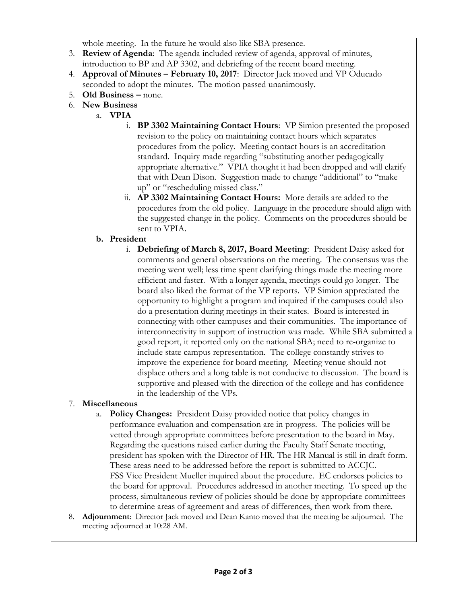whole meeting. In the future he would also like SBA presence.

- 3. **Review of Agenda**: The agenda included review of agenda, approval of minutes, introduction to BP and AP 3302, and debriefing of the recent board meeting.
- 4. **Approval of Minutes – February 10, 2017**: Director Jack moved and VP Oducado seconded to adopt the minutes. The motion passed unanimously.
- 5. **Old Business –** none.
- 6. **New Business**
	- a. **VPIA**
		- i. **BP 3302 Maintaining Contact Hours**: VP Simion presented the proposed revision to the policy on maintaining contact hours which separates procedures from the policy. Meeting contact hours is an accreditation standard. Inquiry made regarding "substituting another pedagogically appropriate alternative." VPIA thought it had been dropped and will clarify that with Dean Dison. Suggestion made to change "additional" to "make up" or "rescheduling missed class."
		- ii. **AP 3302 Maintaining Contact Hours:** More details are added to the procedures from the old policy. Language in the procedure should align with the suggested change in the policy. Comments on the procedures should be sent to VPIA.
		- **b. President**
			- i. **Debriefing of March 8, 2017, Board Meeting**: President Daisy asked for comments and general observations on the meeting. The consensus was the meeting went well; less time spent clarifying things made the meeting more efficient and faster. With a longer agenda, meetings could go longer. The board also liked the format of the VP reports. VP Simion appreciated the opportunity to highlight a program and inquired if the campuses could also do a presentation during meetings in their states. Board is interested in connecting with other campuses and their communities. The importance of interconnectivity in support of instruction was made. While SBA submitted a good report, it reported only on the national SBA; need to re-organize to include state campus representation. The college constantly strives to improve the experience for board meeting. Meeting venue should not displace others and a long table is not conducive to discussion. The board is supportive and pleased with the direction of the college and has confidence in the leadership of the VPs.

# 7. **Miscellaneous**

- a. **Policy Changes:** President Daisy provided notice that policy changes in performance evaluation and compensation are in progress. The policies will be vetted through appropriate committees before presentation to the board in May. Regarding the questions raised earlier during the Faculty Staff Senate meeting, president has spoken with the Director of HR. The HR Manual is still in draft form. These areas need to be addressed before the report is submitted to ACCJC. FSS Vice President Mueller inquired about the procedure. EC endorses policies to the board for approval. Procedures addressed in another meeting. To speed up the process, simultaneous review of policies should be done by appropriate committees to determine areas of agreement and areas of differences, then work from there.
- 8. **Adjournment**: Director Jack moved and Dean Kanto moved that the meeting be adjourned. The meeting adjourned at 10:28 AM.